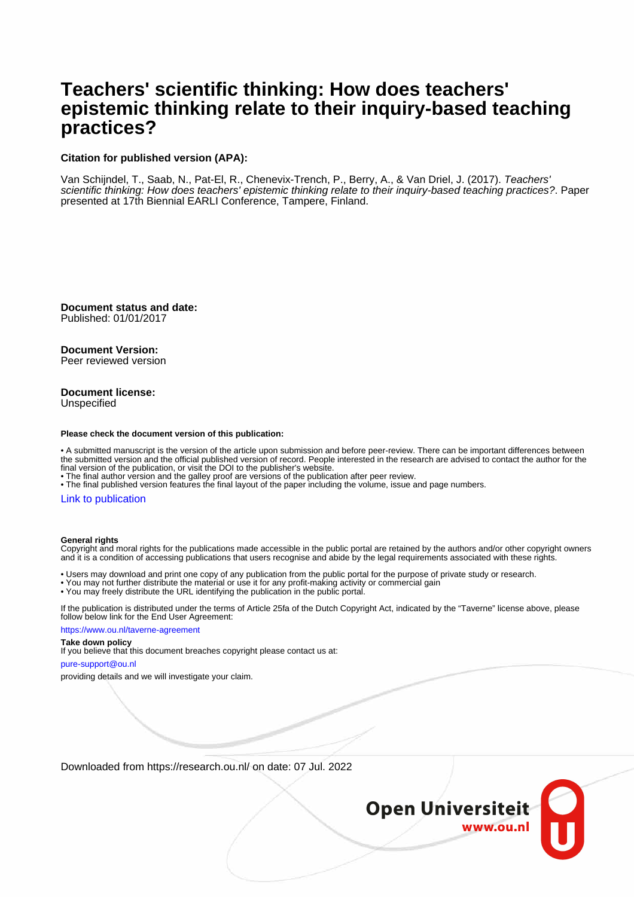# **Teachers' scientific thinking: How does teachers' epistemic thinking relate to their inquiry-based teaching practices?**

### **Citation for published version (APA):**

Van Schijndel, T., Saab, N., Pat-El, R., Chenevix-Trench, P., Berry, A., & Van Driel, J. (2017). Teachers' scientific thinking: How does teachers' epistemic thinking relate to their inquiry-based teaching practices?. Paper presented at 17th Biennial EARLI Conference, Tampere, Finland.

**Document status and date:** Published: 01/01/2017

**Document Version:** Peer reviewed version

### **Document license:** Unspecified

### **Please check the document version of this publication:**

• A submitted manuscript is the version of the article upon submission and before peer-review. There can be important differences between the submitted version and the official published version of record. People interested in the research are advised to contact the author for the final version of the publication, or visit the DOI to the publisher's website.

• The final author version and the galley proof are versions of the publication after peer review.

• The final published version features the final layout of the paper including the volume, issue and page numbers.

### [Link to publication](https://research.ou.nl/en/publications/05fa3cce-90c9-48aa-99d2-cd38b014eed2)

#### **General rights**

Copyright and moral rights for the publications made accessible in the public portal are retained by the authors and/or other copyright owners and it is a condition of accessing publications that users recognise and abide by the legal requirements associated with these rights.

• Users may download and print one copy of any publication from the public portal for the purpose of private study or research.

- You may not further distribute the material or use it for any profit-making activity or commercial gain
- You may freely distribute the URL identifying the publication in the public portal.

If the publication is distributed under the terms of Article 25fa of the Dutch Copyright Act, indicated by the "Taverne" license above, please follow below link for the End User Agreement:

https://www.ou.nl/taverne-agreement

### **Take down policy**

If you believe that this document breaches copyright please contact us at:

pure-support@ou.nl

providing details and we will investigate your claim.

Downloaded from https://research.ou.nl/ on date: 07 Jul. 2022

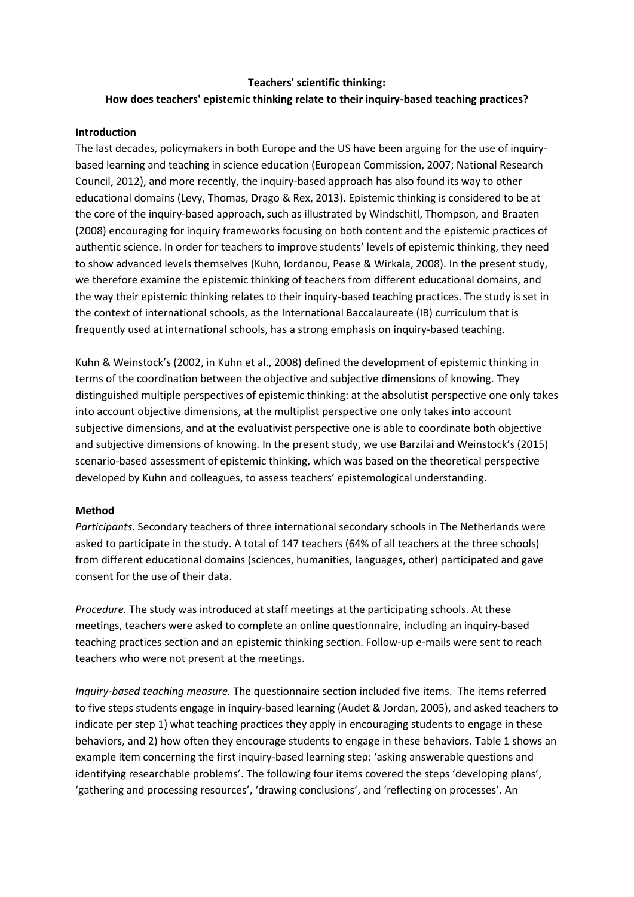# **Teachers' scientific thinking: How does teachers' epistemic thinking relate to their inquiry-based teaching practices?**

## **Introduction**

The last decades, policymakers in both Europe and the US have been arguing for the use of inquirybased learning and teaching in science education (European Commission, 2007; National Research Council, 2012), and more recently, the inquiry-based approach has also found its way to other educational domains (Levy, Thomas, Drago & Rex, 2013). Epistemic thinking is considered to be at the core of the inquiry-based approach, such as illustrated by Windschitl, Thompson, and Braaten (2008) encouraging for inquiry frameworks focusing on both content and the epistemic practices of authentic science. In order for teachers to improve students' levels of epistemic thinking, they need to show advanced levels themselves (Kuhn, Iordanou, Pease & Wirkala, 2008). In the present study, we therefore examine the epistemic thinking of teachers from different educational domains, and the way their epistemic thinking relates to their inquiry-based teaching practices. The study is set in the context of international schools, as the International Baccalaureate (IB) curriculum that is frequently used at international schools, has a strong emphasis on inquiry-based teaching.

Kuhn & Weinstock's (2002, in Kuhn et al., 2008) defined the development of epistemic thinking in terms of the coordination between the objective and subjective dimensions of knowing. They distinguished multiple perspectives of epistemic thinking: at the absolutist perspective one only takes into account objective dimensions, at the multiplist perspective one only takes into account subjective dimensions, and at the evaluativist perspective one is able to coordinate both objective and subjective dimensions of knowing. In the present study, we use Barzilai and Weinstock's (2015) scenario-based assessment of epistemic thinking, which was based on the theoretical perspective developed by Kuhn and colleagues, to assess teachers' epistemological understanding.

## **Method**

*Participants.* Secondary teachers of three international secondary schools in The Netherlands were asked to participate in the study. A total of 147 teachers (64% of all teachers at the three schools) from different educational domains (sciences, humanities, languages, other) participated and gave consent for the use of their data.

*Procedure.* The study was introduced at staff meetings at the participating schools. At these meetings, teachers were asked to complete an online questionnaire, including an inquiry-based teaching practices section and an epistemic thinking section. Follow-up e-mails were sent to reach teachers who were not present at the meetings.

*Inquiry-based teaching measure.* The questionnaire section included five items. The items referred to five steps students engage in inquiry-based learning (Audet & Jordan, 2005), and asked teachers to indicate per step 1) what teaching practices they apply in encouraging students to engage in these behaviors, and 2) how often they encourage students to engage in these behaviors. Table 1 shows an example item concerning the first inquiry-based learning step: 'asking answerable questions and identifying researchable problems'. The following four items covered the steps 'developing plans', 'gathering and processing resources', 'drawing conclusions', and 'reflecting on processes'. An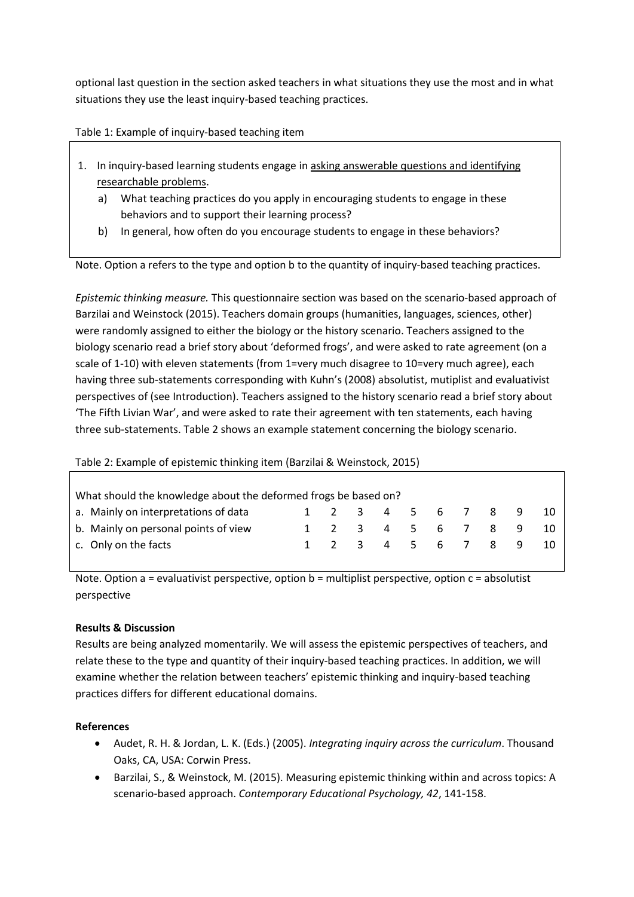optional last question in the section asked teachers in what situations they use the most and in what situations they use the least inquiry-based teaching practices.

Table 1: Example of inquiry-based teaching item

- 1. In inquiry-based learning students engage in asking answerable questions and identifying researchable problems.
	- a) What teaching practices do you apply in encouraging students to engage in these behaviors and to support their learning process?
	- b) In general, how often do you encourage students to engage in these behaviors?

Note. Option a refers to the type and option b to the quantity of inquiry-based teaching practices.

*Epistemic thinking measure.* This questionnaire section was based on the scenario-based approach of Barzilai and Weinstock (2015). Teachers domain groups (humanities, languages, sciences, other) were randomly assigned to either the biology or the history scenario. Teachers assigned to the biology scenario read a brief story about 'deformed frogs', and were asked to rate agreement (on a scale of 1-10) with eleven statements (from 1=very much disagree to 10=very much agree), each having three sub-statements corresponding with Kuhn's (2008) absolutist, mutiplist and evaluativist perspectives of (see Introduction). Teachers assigned to the history scenario read a brief story about 'The Fifth Livian War', and were asked to rate their agreement with ten statements, each having three sub-statements. Table 2 shows an example statement concerning the biology scenario.

# Table 2: Example of epistemic thinking item (Barzilai & Weinstock, 2015)

| What should the knowledge about the deformed frogs be based on? |  |  |  |  |  |  |                   |  |  |     |
|-----------------------------------------------------------------|--|--|--|--|--|--|-------------------|--|--|-----|
| a. Mainly on interpretations of data                            |  |  |  |  |  |  | 1 2 3 4 5 6 7 8 9 |  |  | -10 |
| b. Mainly on personal points of view                            |  |  |  |  |  |  | 1 2 3 4 5 6 7 8 9 |  |  |     |
| c. Only on the facts                                            |  |  |  |  |  |  | 1 2 3 4 5 6 7 8 9 |  |  | -10 |

Note. Option a = evaluativist perspective, option b = multiplist perspective, option c = absolutist perspective

# **Results & Discussion**

Results are being analyzed momentarily. We will assess the epistemic perspectives of teachers, and relate these to the type and quantity of their inquiry-based teaching practices. In addition, we will examine whether the relation between teachers' epistemic thinking and inquiry-based teaching practices differs for different educational domains.

# **References**

- Audet, R. H. & Jordan, L. K. (Eds.) (2005). *Integrating inquiry across the curriculum*. Thousand Oaks, CA, USA: Corwin Press.
- Barzilai, S., & Weinstock, M. (2015). Measuring epistemic thinking within and across topics: A scenario-based approach. *Contemporary Educational Psychology, 42*, 141-158.